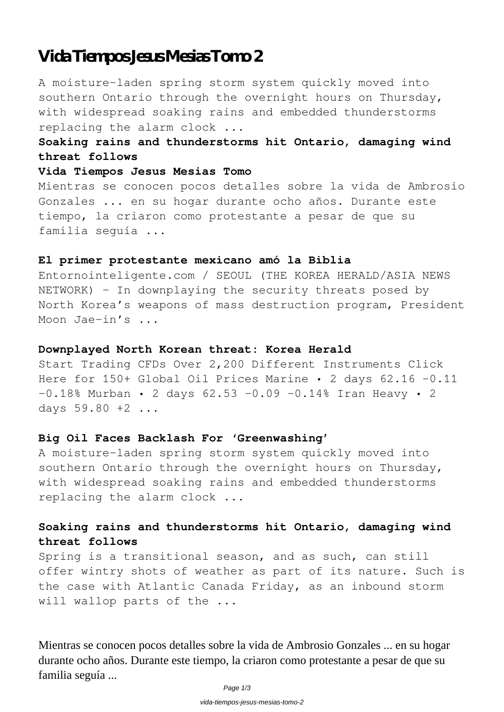# **Vida Tiempos Jesus Mesias Tomo 2**

A moisture-laden spring storm system quickly moved into southern Ontario through the overnight hours on Thursday, with widespread soaking rains and embedded thunderstorms replacing the alarm clock ...

### **Soaking rains and thunderstorms hit Ontario, damaging wind threat follows**

### **Vida Tiempos Jesus Mesias Tomo**

Mientras se conocen pocos detalles sobre la vida de Ambrosio Gonzales ... en su hogar durante ocho años. Durante este tiempo, la criaron como protestante a pesar de que su familia seguía ...

#### **El primer protestante mexicano amó la Biblia**

Entornointeligente.com / SEOUL (THE KOREA HERALD/ASIA NEWS NETWORK) – In downplaying the security threats posed by North Korea's weapons of mass destruction program, President Moon Jae-in's ...

### **Downplayed North Korean threat: Korea Herald**

Start Trading CFDs Over 2,200 Different Instruments Click Here for 150+ Global Oil Prices Marine · 2 days 62.16 -0.11  $-0.18$ % Murban • 2 days 62.53  $-0.09$   $-0.14$ % Iran Heavy • 2 days 59.80 +2 ...

#### **Big Oil Faces Backlash For 'Greenwashing'**

A moisture-laden spring storm system quickly moved into southern Ontario through the overnight hours on Thursday, with widespread soaking rains and embedded thunderstorms replacing the alarm clock ...

### **Soaking rains and thunderstorms hit Ontario, damaging wind threat follows**

Spring is a transitional season, and as such, can still offer wintry shots of weather as part of its nature. Such is the case with Atlantic Canada Friday, as an inbound storm will wallop parts of the ...

Mientras se conocen pocos detalles sobre la vida de Ambrosio Gonzales ... en su hogar durante ocho años. Durante este tiempo, la criaron como protestante a pesar de que su familia seguía ...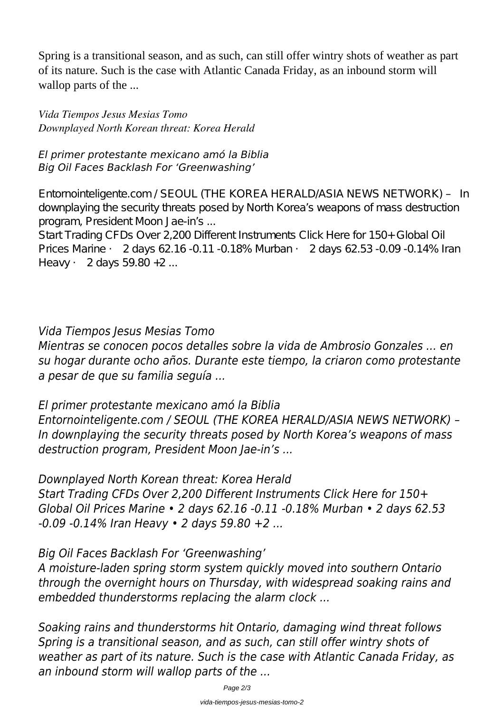Spring is a transitional season, and as such, can still offer wintry shots of weather as part of its nature. Such is the case with Atlantic Canada Friday, as an inbound storm will wallop parts of the ...

*Vida Tiempos Jesus Mesias Tomo Downplayed North Korean threat: Korea Herald*

### *El primer protestante mexicano amó la Biblia Big Oil Faces Backlash For 'Greenwashing'*

Entornointeligente.com / SEOUL (THE KOREA HERALD/ASIA NEWS NETWORK) – In downplaying the security threats posed by North Korea's weapons of mass destruction program, President Moon Jae-in's ...

Start Trading CFDs Over 2,200 Different Instruments Click Here for 150+ Global Oil Prices Marine • 2 days 62.16 -0.11 -0.18% Murban • 2 days 62.53 -0.09 -0.14% Iran Heavy • 2 days 59.80 +2 ...

# *Vida Tiempos Jesus Mesias Tomo*

*Mientras se conocen pocos detalles sobre la vida de Ambrosio Gonzales ... en su hogar durante ocho años. Durante este tiempo, la criaron como protestante a pesar de que su familia seguía ...*

# *El primer protestante mexicano amó la Biblia*

*Entornointeligente.com / SEOUL (THE KOREA HERALD/ASIA NEWS NETWORK) – In downplaying the security threats posed by North Korea's weapons of mass destruction program, President Moon Jae-in's ...*

*Downplayed North Korean threat: Korea Herald*

*Start Trading CFDs Over 2,200 Different Instruments Click Here for 150+ Global Oil Prices Marine • 2 days 62.16 -0.11 -0.18% Murban • 2 days 62.53 -0.09 -0.14% Iran Heavy • 2 days 59.80 +2 ...*

# *Big Oil Faces Backlash For 'Greenwashing'*

*A moisture-laden spring storm system quickly moved into southern Ontario through the overnight hours on Thursday, with widespread soaking rains and embedded thunderstorms replacing the alarm clock ...*

*Soaking rains and thunderstorms hit Ontario, damaging wind threat follows Spring is a transitional season, and as such, can still offer wintry shots of weather as part of its nature. Such is the case with Atlantic Canada Friday, as an inbound storm will wallop parts of the ...*